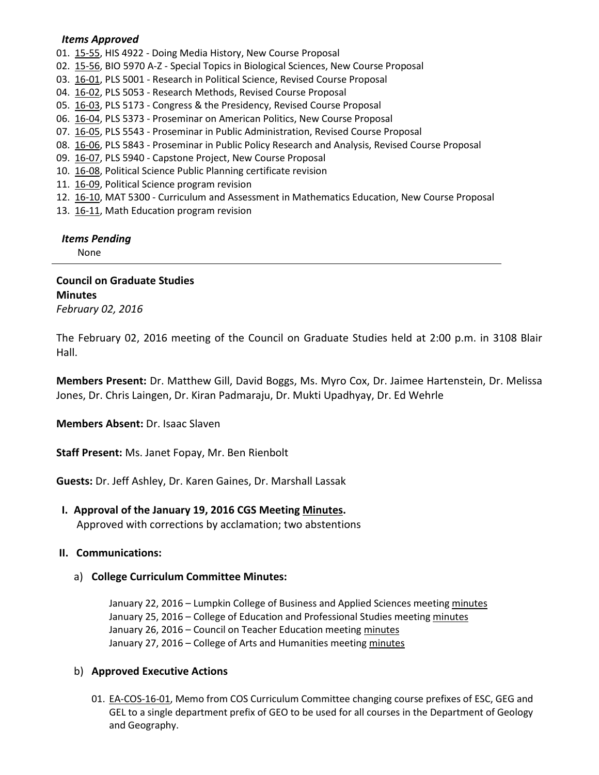#### *Items Approved*

- 01. [15-55,](http://castle.eiu.edu/%7Eeiucgs/currentagendaitems/agenda15-55.pdf) HIS 4922 Doing Media History, New Course Proposal
- 02. [15-56,](http://castle.eiu.edu/%7Eeiucgs/currentagendaitems/agenda15-56.pdf) BIO 5970 A-Z Special Topics in Biological Sciences, New Course Proposal
- 03. [16-01,](http://castle.eiu.edu/%7Eeiucgs/currentagendaitems/agenda16-01.pdf) PLS 5001 Research in Political Science, Revised Course Proposal
- 04. [16-02,](http://castle.eiu.edu/%7Eeiucgs/currentagendaitems/agenda16-02.pdf) PLS 5053 Research Methods, Revised Course Proposal
- 05. [16-03,](http://castle.eiu.edu/%7Eeiucgs/currentagendaitems/agenda16-03.pdf) PLS 5173 Congress & the Presidency, Revised Course Proposal
- 06. [16-04,](http://castle.eiu.edu/%7Eeiucgs/currentagendaitems/agenda16-04.pdf) PLS 5373 Proseminar on American Politics, New Course Proposal
- 07. [16-05,](http://castle.eiu.edu/%7Eeiucgs/currentagendaitems/agenda16-05.pdf) PLS 5543 Proseminar in Public Administration, Revised Course Proposal
- 08. [16-06,](http://castle.eiu.edu/%7Eeiucgs/currentagendaitems/agenda16-06.pdf) PLS 5843 Proseminar in Public Policy Research and Analysis, Revised Course Proposal
- 09. [16-07,](http://castle.eiu.edu/%7Eeiucgs/currentagendaitems/agenda16-07.pdf) PLS 5940 Capstone Project, New Course Proposal
- 10. [16-08,](http://castle.eiu.edu/%7Eeiucgs/currentagendaitems/agenda16-08.pdf) Political Science Public Planning certificate revision
- 11. [16-09,](http://castle.eiu.edu/%7Eeiucgs/currentagendaitems/agenda16-09.pdf) Political Science program revision
- 12. [16-10,](http://castle.eiu.edu/%7Eeiucgs/currentagendaitems/agenda16-10.pdf) MAT 5300 Curriculum and Assessment in Mathematics Education, New Course Proposal
- 13. [16-11,](http://castle.eiu.edu/%7Eeiucgs/currentagendaitems/agenda16-11.pdf) Math Education program revision

## *Items Pending*

None

# **Council on Graduate Studies Minutes**

*February 02, 2016*

The February 02, 2016 meeting of the Council on Graduate Studies held at 2:00 p.m. in 3108 Blair Hall.

**Members Present:** Dr. Matthew Gill, David Boggs, Ms. Myro Cox, Dr. Jaimee Hartenstein, Dr. Melissa Jones, Dr. Chris Laingen, Dr. Kiran Padmaraju, Dr. Mukti Upadhyay, Dr. Ed Wehrle

**Members Absent:** Dr. Isaac Slaven

**Staff Present:** Ms. Janet Fopay, Mr. Ben Rienbolt

**Guests:** Dr. Jeff Ashley, Dr. Karen Gaines, Dr. Marshall Lassak

#### **I. Approval of the January 19, 2016 CGS Meeting [Minutes.](http://castle.eiu.edu/eiucgs/currentminutes/Minutes01-19-16.pdf)**

Approved with corrections by acclamation; two abstentions

#### **II. Communications:**

#### a) **College Curriculum Committee Minutes:**

January 22, 2016 – Lumpkin College of Business and Applied Sciences meeting [minutes](http://castle.eiu.edu/%7Eeiucgs/currentagendaitems/LCBASMin01-22-16.pdf) January 25, 2016 – College of Education and Professional Studies meetin[g minutes](http://castle.eiu.edu/%7Eeiucgs/currentagendaitems/CEPSMin01-25-16.pdf) January 26, 2016 – Council on Teacher Education meeting [minutes](http://castle.eiu.edu/%7Eeiucgs/currentagendaitems/COTEMin01-26-16.pdf) January 27, 2016 – College of Arts and Humanities meetin[g minutes](http://castle.eiu.edu/%7Eeiucgs/currentagendaitems/CAHMin01-27-16.pdf)

#### b) **Approved Executive Actions**

01. [EA-COS-16-01,](http://castle.eiu.edu/%7Eeiucgs/exec-actions/EA-COS-16-01.pdf) Memo from COS Curriculum Committee changing course prefixes of ESC, GEG and GEL to a single department prefix of GEO to be used for all courses in the Department of Geology and Geography.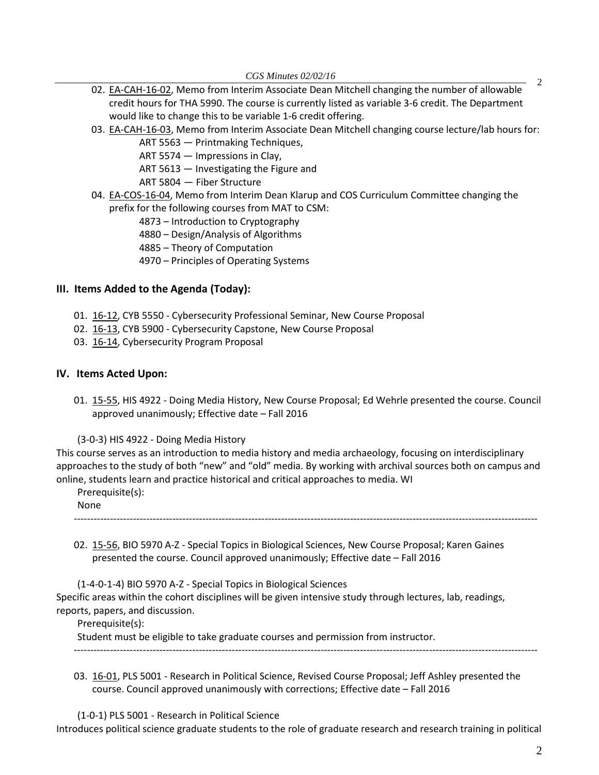- *CGS Minutes 02/02/16* <sup>2</sup> 02. [EA-CAH-16-02,](http://castle.eiu.edu/%7Eeiucgs/exec-actions/EA-CAH-16-02.pdf) Memo from Interim Associate Dean Mitchell changing the number of allowable credit hours for THA 5990. The course is currently listed as variable 3-6 credit. The Department would like to change this to be variable 1-6 credit offering.
- 03. [EA-CAH-16-03,](http://castle.eiu.edu/%7Eeiucgs/exec-actions/EA-CAH-16-03.pdf) Memo from Interim Associate Dean Mitchell changing course lecture/lab hours for:
	- ART 5563 Printmaking Techniques,

ART 5574 — Impressions in Clay,

ART 5613 — Investigating the Figure and

ART 5804 — Fiber Structure

- 04. [EA-COS-16-04,](http://castle.eiu.edu/%7Eeiucgs/exec-actions/EA-COS-16-04.pdf) Memo from Interim Dean Klarup and COS Curriculum Committee changing the prefix for the following courses from MAT to CSM:
	- 4873 Introduction to Cryptography
	- 4880 Design/Analysis of Algorithms
	- 4885 Theory of Computation
	- 4970 Principles of Operating Systems

#### **III. Items Added to the Agenda (Today):**

- 01. [16-12,](http://castle.eiu.edu/%7Eeiucgs/currentagendaitems/agenda16-12.pdf) CYB 5550 Cybersecurity Professional Seminar, New Course Proposal
- 02. [16-13,](http://castle.eiu.edu/%7Eeiucgs/currentagendaitems/agenda16-13.pdf) CYB 5900 Cybersecurity Capstone, New Course Proposal
- 03. [16-14,](http://castle.eiu.edu/%7Eeiucgs/currentagendaitems/agenda16-14.pdf) Cybersecurity Program Proposal

#### **IV. Items Acted Upon:**

01. [15-55,](http://castle.eiu.edu/%7Eeiucgs/currentagendaitems/agenda15-55.pdf) HIS 4922 - Doing Media History, New Course Proposal; Ed Wehrle presented the course. Council approved unanimously; Effective date – Fall 2016

(3-0-3) HIS 4922 - Doing Media History

This course serves as an introduction to media history and media archaeology, focusing on interdisciplinary approaches to the study of both "new" and "old" media. By working with archival sources both on campus and online, students learn and practice historical and critical approaches to media. WI

Prerequisite(s):

None

02. [15-56,](http://castle.eiu.edu/%7Eeiucgs/currentagendaitems/agenda15-56.pdf) BIO 5970 A-Z - Special Topics in Biological Sciences, New Course Proposal; Karen Gaines

---------------------------------------------------------------------------------------------------------------------------------------------

presented the course. Council approved unanimously; Effective date – Fall 2016

(1-4-0-1-4) BIO 5970 A-Z - Special Topics in Biological Sciences Specific areas within the cohort disciplines will be given intensive study through lectures, lab, readings, reports, papers, and discussion.

Prerequisite(s):

Student must be eligible to take graduate courses and permission from instructor.

03. [16-01,](http://castle.eiu.edu/%7Eeiucgs/currentagendaitems/agenda16-01.pdf) PLS 5001 - Research in Political Science, Revised Course Proposal; Jeff Ashley presented the course. Council approved unanimously with corrections; Effective date – Fall 2016

---------------------------------------------------------------------------------------------------------------------------------------------

(1-0-1) PLS 5001 - Research in Political Science

Introduces political science graduate students to the role of graduate research and research training in political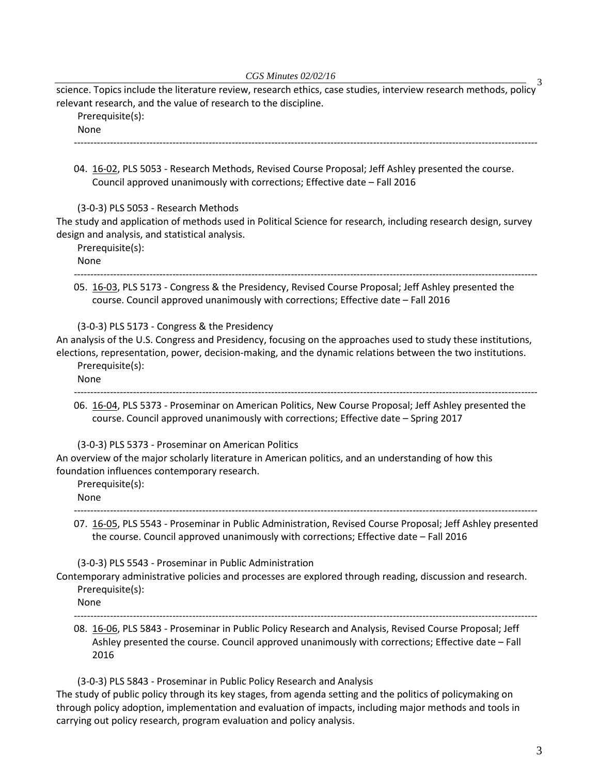*CGS Minutes 02/02/16* 3 science. Topics include the literature review, research ethics, case studies, interview research methods, policy relevant research, and the value of research to the discipline.

Prerequisite(s):

None ---------------------------------------------------------------------------------------------------------------------------------------------

04. [16-02,](http://castle.eiu.edu/%7Eeiucgs/currentagendaitems/agenda16-02.pdf) PLS 5053 - Research Methods, Revised Course Proposal; Jeff Ashley presented the course. Council approved unanimously with corrections; Effective date – Fall 2016

(3-0-3) PLS 5053 - Research Methods

The study and application of methods used in Political Science for research, including research design, survey design and analysis, and statistical analysis.

Prerequisite(s): None

--------------------------------------------------------------------------------------------------------------------------------------------- 05. [16-03,](http://castle.eiu.edu/%7Eeiucgs/currentagendaitems/agenda16-03.pdf) PLS 5173 - Congress & the Presidency, Revised Course Proposal; Jeff Ashley presented the course. Council approved unanimously with corrections; Effective date – Fall 2016

(3-0-3) PLS 5173 - Congress & the Presidency

An analysis of the U.S. Congress and Presidency, focusing on the approaches used to study these institutions, elections, representation, power, decision-making, and the dynamic relations between the two institutions. Prerequisite(s):

None

---------------------------------------------------------------------------------------------------------------------------------------------

06. [16-04,](http://castle.eiu.edu/%7Eeiucgs/currentagendaitems/agenda16-04.pdf) PLS 5373 - Proseminar on American Politics, New Course Proposal; Jeff Ashley presented the course. Council approved unanimously with corrections; Effective date – Spring 2017

(3-0-3) PLS 5373 - Proseminar on American Politics

An overview of the major scholarly literature in American politics, and an understanding of how this foundation influences contemporary research.

Prerequisite(s):

None

--------------------------------------------------------------------------------------------------------------------------------------------- 07. [16-05,](http://castle.eiu.edu/%7Eeiucgs/currentagendaitems/agenda16-05.pdf) PLS 5543 - Proseminar in Public Administration, Revised Course Proposal; Jeff Ashley presented the course. Council approved unanimously with corrections; Effective date – Fall 2016

(3-0-3) PLS 5543 - Proseminar in Public Administration

Contemporary administrative policies and processes are explored through reading, discussion and research. Prerequisite(s):

None

---------------------------------------------------------------------------------------------------------------------------------------------

08. [16-06,](http://castle.eiu.edu/%7Eeiucgs/currentagendaitems/agenda16-06.pdf) PLS 5843 - Proseminar in Public Policy Research and Analysis, Revised Course Proposal; Jeff Ashley presented the course. Council approved unanimously with corrections; Effective date – Fall 2016

(3-0-3) PLS 5843 - Proseminar in Public Policy Research and Analysis The study of public policy through its key stages, from agenda setting and the politics of policymaking on through policy adoption, implementation and evaluation of impacts, including major methods and tools in carrying out policy research, program evaluation and policy analysis.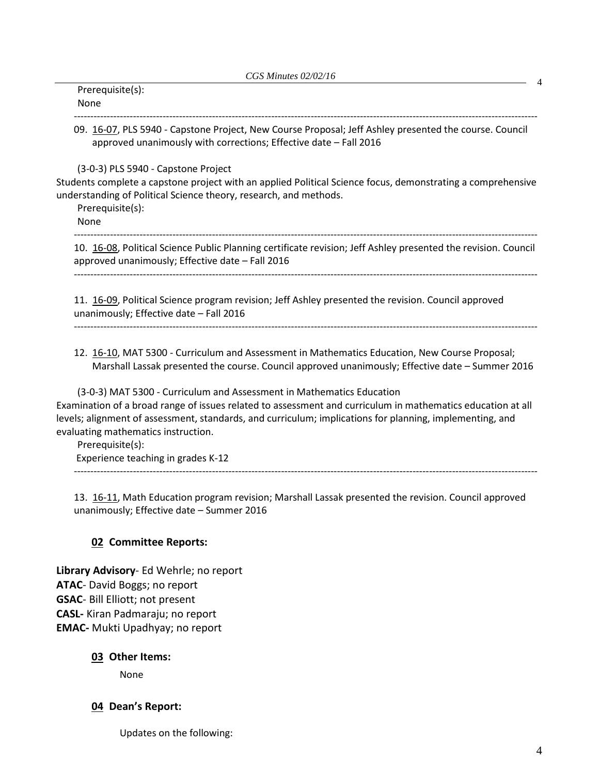| Prerequisite(s):<br>None                                                                                                                                                                                                                                                                                                                                                                          |
|---------------------------------------------------------------------------------------------------------------------------------------------------------------------------------------------------------------------------------------------------------------------------------------------------------------------------------------------------------------------------------------------------|
| 09. 16-07, PLS 5940 - Capstone Project, New Course Proposal; Jeff Ashley presented the course. Council<br>approved unanimously with corrections; Effective date - Fall 2016                                                                                                                                                                                                                       |
| (3-0-3) PLS 5940 - Capstone Project<br>Students complete a capstone project with an applied Political Science focus, demonstrating a comprehensive<br>understanding of Political Science theory, research, and methods.<br>Prerequisite(s):<br>None                                                                                                                                               |
| 10. 16-08, Political Science Public Planning certificate revision; Jeff Ashley presented the revision. Council<br>approved unanimously; Effective date - Fall 2016                                                                                                                                                                                                                                |
| 11. 16-09, Political Science program revision; Jeff Ashley presented the revision. Council approved<br>unanimously; Effective date - Fall 2016                                                                                                                                                                                                                                                    |
| 12. 16-10, MAT 5300 - Curriculum and Assessment in Mathematics Education, New Course Proposal;<br>Marshall Lassak presented the course. Council approved unanimously; Effective date - Summer 2016                                                                                                                                                                                                |
| (3-0-3) MAT 5300 - Curriculum and Assessment in Mathematics Education<br>Examination of a broad range of issues related to assessment and curriculum in mathematics education at all<br>levels; alignment of assessment, standards, and curriculum; implications for planning, implementing, and<br>evaluating mathematics instruction.<br>Prerequisite(s):<br>Experience teaching in grades K-12 |
| 13. 16-11, Math Education program revision; Marshall Lassak presented the revision. Council approved<br>unanimously; Effective date - Summer 2016                                                                                                                                                                                                                                                 |

### **02 Committee Reports:**

**Library Advisory**- Ed Wehrle; no report **ATAC**- David Boggs; no report **GSAC**- Bill Elliott; not present **CASL-** Kiran Padmaraju; no report **EMAC-** Mukti Upadhyay; no report

#### **03 Other Items:**

None

## **04 Dean's Report:**

Updates on the following: